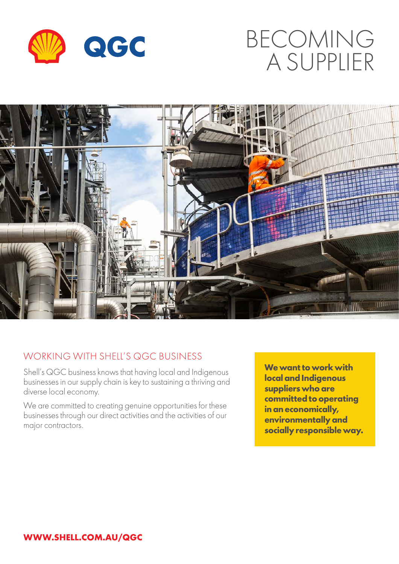

## BECOMING A SUPPLIER



## WORKING WITH SHELL'S QGC BUSINESS

Shell's QGC business knows that having local and Indigenous businesses in our supply chain is key to sustaining a thriving and diverse local economy.

We are committed to creating genuine opportunities for these businesses through our direct activities and the activities of our major contractors.

**We want to work with local and Indigenous suppliers who are committed to operating in an economically, environmentally and socially responsible way.**